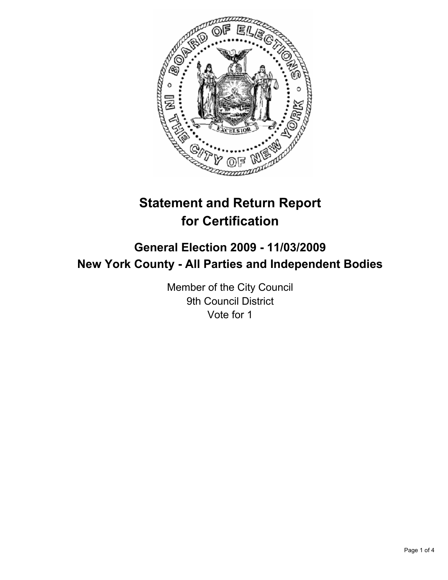

# **Statement and Return Report for Certification**

# **General Election 2009 - 11/03/2009 New York County - All Parties and Independent Bodies**

Member of the City Council 9th Council District Vote for 1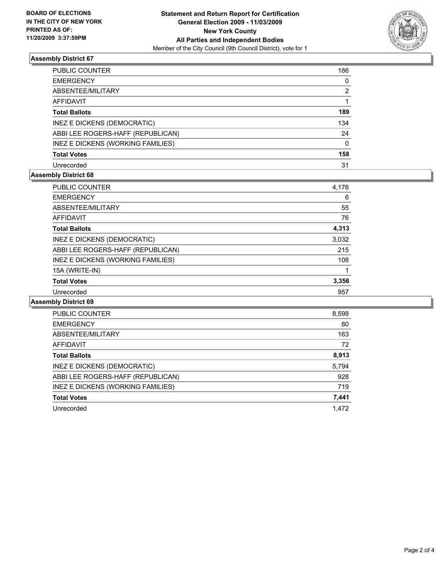

# **Assembly District 67**

| PUBLIC COUNTER                     | 186          |
|------------------------------------|--------------|
| EMERGENCY                          | 0            |
| ABSENTEE/MILITARY                  | 2            |
| AFFIDAVIT                          |              |
| Total Ballots                      | 189          |
| <b>INEZ E DICKENS (DEMOCRATIC)</b> | 134          |
| ABBI LEE ROGERS-HAFF (REPUBLICAN)  | 24           |
| INEZ E DICKENS (WORKING FAMILIES)  | $\mathbf{0}$ |
| <b>Total Votes</b>                 | 158          |
| Unrecorded                         | 31           |

# **Assembly District 68**

| <b>PUBLIC COUNTER</b>             | 4,176 |
|-----------------------------------|-------|
| <b>EMERGENCY</b>                  | 6     |
| ABSENTEE/MILITARY                 | 55    |
| <b>AFFIDAVIT</b>                  | 76    |
| <b>Total Ballots</b>              | 4,313 |
| INEZ E DICKENS (DEMOCRATIC)       | 3,032 |
| ABBI LEE ROGERS-HAFF (REPUBLICAN) | 215   |
| INEZ E DICKENS (WORKING FAMILIES) | 108   |
| 15A (WRITE-IN)                    | 1     |
| <b>Total Votes</b>                | 3,356 |
| Unrecorded                        | 957   |

#### **Assembly District 69**

| PUBLIC COUNTER                    | 8,598 |
|-----------------------------------|-------|
| <b>EMERGENCY</b>                  | 80    |
| ABSENTEE/MILITARY                 | 163   |
| <b>AFFIDAVIT</b>                  | 72    |
| <b>Total Ballots</b>              | 8,913 |
| INEZ E DICKENS (DEMOCRATIC)       | 5,794 |
| ABBI LEE ROGERS-HAFF (REPUBLICAN) | 928   |
| INEZ E DICKENS (WORKING FAMILIES) | 719   |
| <b>Total Votes</b>                | 7,441 |
| Unrecorded                        | 1.472 |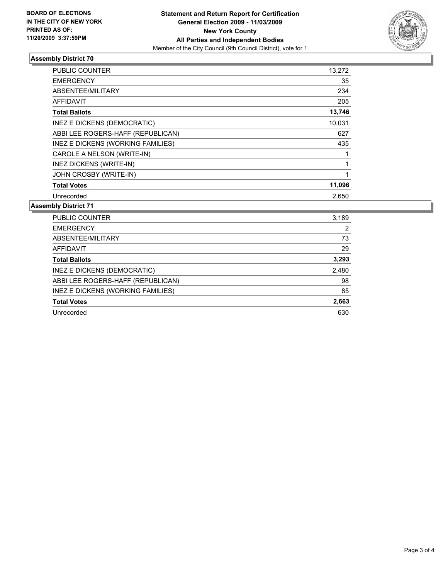

# **Assembly District 70**

| <b>PUBLIC COUNTER</b>             | 13,272 |
|-----------------------------------|--------|
| <b>EMERGENCY</b>                  | 35     |
| ABSENTEE/MILITARY                 | 234    |
| <b>AFFIDAVIT</b>                  | 205    |
| <b>Total Ballots</b>              | 13,746 |
| INEZ E DICKENS (DEMOCRATIC)       | 10,031 |
| ABBI LEE ROGERS-HAFF (REPUBLICAN) | 627    |
| INEZ E DICKENS (WORKING FAMILIES) | 435    |
| CAROLE A NELSON (WRITE-IN)        |        |
| INEZ DICKENS (WRITE-IN)           |        |
| JOHN CROSBY (WRITE-IN)            | 1      |
| <b>Total Votes</b>                | 11,096 |
| Unrecorded                        | 2,650  |

# **Assembly District 71**

| <b>PUBLIC COUNTER</b>             | 3,189 |
|-----------------------------------|-------|
| <b>EMERGENCY</b>                  | 2     |
| ABSENTEE/MILITARY                 | 73    |
| AFFIDAVIT                         | 29    |
| <b>Total Ballots</b>              | 3,293 |
| INEZ E DICKENS (DEMOCRATIC)       | 2,480 |
| ABBI LEE ROGERS-HAFF (REPUBLICAN) | 98    |
| INEZ E DICKENS (WORKING FAMILIES) | 85    |
| <b>Total Votes</b>                | 2,663 |
| Unrecorded                        | 630   |